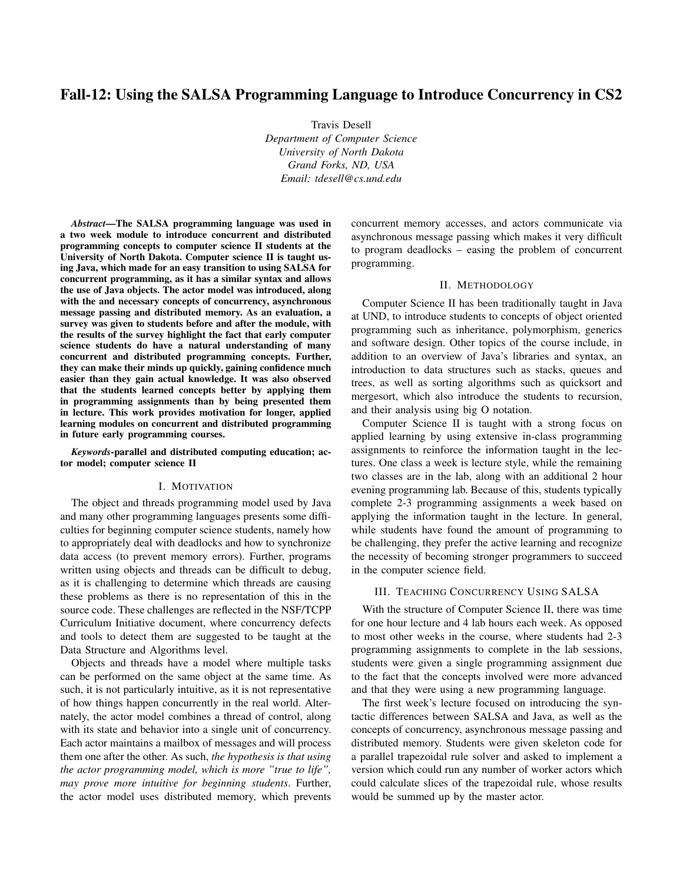# Fall-12: Using the SALSA Programming Language to Introduce Concurrency in CS2

Travis Desell *Department of Computer Science University of North Dakota Grand Forks, ND, USA Email: tdesell@cs.und.edu*

*Abstract*—The SALSA programming language was used in a two week module to introduce concurrent and distributed programming concepts to computer science II students at the University of North Dakota. Computer science II is taught using Java, which made for an easy transition to using SALSA for concurrent programming, as it has a similar syntax and allows the use of Java objects. The actor model was introduced, along with the and necessary concepts of concurrency, asynchronous message passing and distributed memory. As an evaluation, a survey was given to students before and after the module, with the results of the survey highlight the fact that early computer science students do have a natural understanding of many concurrent and distributed programming concepts. Further, they can make their minds up quickly, gaining confidence much easier than they gain actual knowledge. It was also observed that the students learned concepts better by applying them in programming assignments than by being presented them in lecture. This work provides motivation for longer, applied learning modules on concurrent and distributed programming in future early programming courses.

*Keywords*-parallel and distributed computing education; actor model; computer science II

## I. MOTIVATION

The object and threads programming model used by Java and many other programming languages presents some difficulties for beginning computer science students, namely how to appropriately deal with deadlocks and how to synchronize data access (to prevent memory errors). Further, programs written using objects and threads can be difficult to debug, as it is challenging to determine which threads are causing these problems as there is no representation of this in the source code. These challenges are reflected in the NSF/TCPP Curriculum Initiative document, where concurrency defects and tools to detect them are suggested to be taught at the Data Structure and Algorithms level.

Objects and threads have a model where multiple tasks can be performed on the same object at the same time. As such, it is not particularly intuitive, as it is not representative of how things happen concurrently in the real world. Alternately, the actor model combines a thread of control, along with its state and behavior into a single unit of concurrency. Each actor maintains a mailbox of messages and will process them one after the other. As such, *the hypothesis is that using the actor programming model, which is more "true to life", may prove more intuitive for beginning students*. Further, the actor model uses distributed memory, which prevents concurrent memory accesses, and actors communicate via asynchronous message passing which makes it very difficult to program deadlocks – easing the problem of concurrent programming.

#### II. METHODOLOGY

Computer Science II has been traditionally taught in Java at UND, to introduce students to concepts of object oriented programming such as inheritance, polymorphism, generics and software design. Other topics of the course include, in addition to an overview of Java's libraries and syntax, an introduction to data structures such as stacks, queues and trees, as well as sorting algorithms such as quicksort and mergesort, which also introduce the students to recursion, and their analysis using big O notation.

Computer Science II is taught with a strong focus on applied learning by using extensive in-class programming assignments to reinforce the information taught in the lectures. One class a week is lecture style, while the remaining two classes are in the lab, along with an additional 2 hour evening programming lab. Because of this, students typically complete 2-3 programming assignments a week based on applying the information taught in the lecture. In general, while students have found the amount of programming to be challenging, they prefer the active learning and recognize the necessity of becoming stronger programmers to succeed in the computer science field.

#### III. TEACHING CONCURRENCY USING SALSA

With the structure of Computer Science II, there was time for one hour lecture and 4 lab hours each week. As opposed to most other weeks in the course, where students had 2-3 programming assignments to complete in the lab sessions, students were given a single programming assignment due to the fact that the concepts involved were more advanced and that they were using a new programming language.

The first week's lecture focused on introducing the syntactic differences between SALSA and Java, as well as the concepts of concurrency, asynchronous message passing and distributed memory. Students were given skeleton code for a parallel trapezoidal rule solver and asked to implement a version which could run any number of worker actors which could calculate slices of the trapezoidal rule, whose results would be summed up by the master actor.